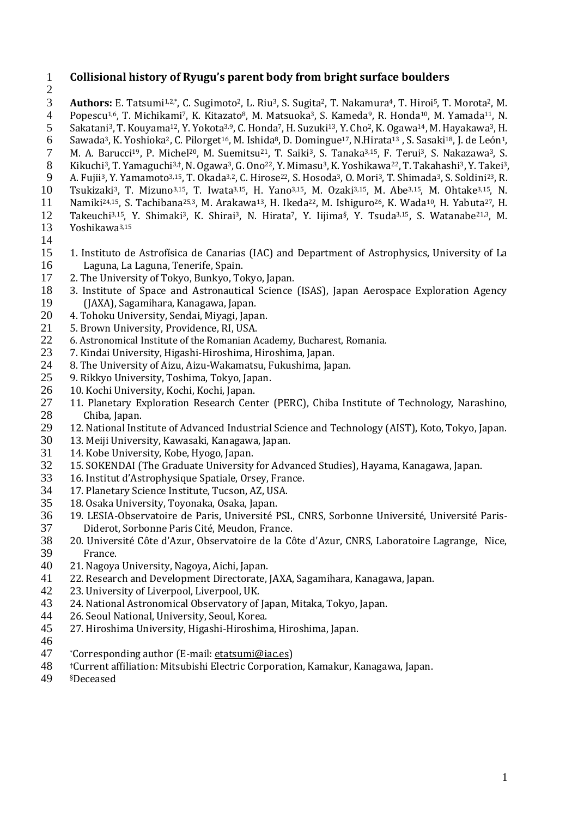- **Collisional history of Ryugu's parent body from bright surface boulders Authors:** E. Tatsumi<sup>1,2,\*</sup>, C. Sugimoto<sup>2</sup>, L. Riu<sup>3</sup>, S. Sugita<sup>2</sup>, T. Nakamura<sup>4</sup>, T. Hiroi<sup>5</sup>, T. Morota<sup>2</sup>, M. 4 Popescu<sup>1,6</sup>, T. Michikami<sup>7</sup>, K. Kitazato<sup>8</sup>, M. Matsuoka<sup>3</sup>, S. Kameda<sup>9</sup>, R. Honda<sup>10</sup>, M. Yamada<sup>11</sup> Popescu<sup>1,6</sup>, T. Michikami<sup>7</sup>, K. Kitazato<sup>8</sup>, M. Matsuoka<sup>3</sup>, S. Kameda<sup>9</sup>, R. Honda<sup>10</sup>, M. Yamada<sup>11</sup>, N. 5 Sakatani<sup>3</sup>, T. Kouyama<sup>12</sup>, Y. Yokota<sup>3,9</sup>, C. Honda<sup>7</sup>, H. Suzuki<sup>13</sup>, Y. Cho<sup>2</sup>, K. Ogawa<sup>14</sup>, M. Hayakawa<sup>3</sup>, H. Sawada<sup>3</sup>, K. Yoshioka<sup>2</sup>, C. Pilorget<sup>16</sup>, M. Ishida<sup>8</sup>, D. Domingue<sup>17</sup>, N.Hirata<sup>13</sup>, S. Sasaki<sup>18</sup>, J. de León<sup>1</sup>, 7 M. A. Barucci<sup>19</sup>, P. Michel<sup>20</sup>, M. Suemitsu<sup>21</sup>, T. Saiki<sup>3</sup>, S. Tanaka<sup>3,15</sup>, F. Terui<sup>3</sup>, S. M. A. Barucci<sup>19</sup>, P. Michel<sup>20</sup>, M. Suemitsu<sup>21</sup>, T. Saiki<sup>3</sup>, S. Tanaka<sup>3,15</sup>, F. Terui<sup>3</sup>, S. Nakazawa<sup>3</sup>, S. (S. Nakazawa<sup>3</sup>, S. (S. Nakazawa<sup>3</sup>, S. (S. Nakazawa<sup>3</sup>, S. (S. Nakahashi<sup>3</sup>, Y. Takei<sup>3</sup>, S. (S. Ono<sup>22</sup>, Y. Kikuchi<sup>3</sup>, T. Yamaguchi<sup>3,†</sup>, N. Ogawa<sup>3</sup>, G. Ono<sup>22</sup>, Y. Mimasu<sup>3</sup>, K. Yoshikawa<sup>22</sup>, T. Takahashi<sup>3</sup>, Y. Takei<sup>3</sup>, 9 A. Fujii<sup>3</sup>, Y. Yamamoto<sup>3,15</sup>, T. Okada<sup>3,2</sup>, C. Hirose<sup>22</sup>, S. Hosoda<sup>3</sup>, O. Mori<sup>3</sup>, T. Shimada<sup>3</sup>, S. Soldini<sup>23</sup>, R. 10<br>10 Tsukizaki<sup>3</sup>, T. Mizuno<sup>3,15</sup>, T. Iwata<sup>3,15</sup>, H. Yano<sup>3,15</sup>, M. Ozaki<sup>3,15</sup>, M. Abe<sup>3,15</sup>, Tsukizaki<sup>3</sup>, T. Mizuno<sup>3,15</sup>, T. Iwata<sup>3,15</sup>, H. Yano<sup>3,15</sup>, M. Ozaki<sup>3,15</sup>, M. Abe<sup>3,15</sup>, M. Ohtake<sup>3,15</sup>, N. 11 Namiki<sup>24,15</sup>, S. Tachibana<sup>25,3</sup>, M. Arakawa<sup>13</sup>, H. Ikeda<sup>22</sup>, M. Ishiguro<sup>26</sup>, K. Wada<sup>10</sup>, H. Yabuta<sup>27</sup>, H. Takeuchi3,15, Y. Shimaki3, K. Shirai3, N. Hirata7, Y. Iijima§, Y. Tsuda3,15, S. Watanabe21,3 , M. Yoshikawa3,15
- 1. Instituto de Astrofísica de Canarias (IAC) and Department of Astrophysics, University of La Laguna, La Laguna, Tenerife, Spain.
- 2. The University of Tokyo, Bunkyo, Tokyo, Japan.
- 3. Institute of Space and Astronautical Science (ISAS), Japan Aerospace Exploration Agency 19 (JAXA), Sagamihara, Kanagawa, Japan.<br>20 4. Tohoku University, Sendai, Miyagi, Japa
- 4. Tohoku University, Sendai, Miyagi, Japan.
- 5. Brown University, Providence, RI, USA.
- 6. Astronomical Institute of the Romanian Academy, Bucharest, Romania.
- 7. Kindai University, Higashi-Hiroshima, Hiroshima, Japan.
- 8. The University of Aizu, Aizu-Wakamatsu, Fukushima, Japan.
- 9. Rikkyo University, Toshima, Tokyo, Japan.
- 26 10. Kochi University, Kochi, Kochi, Japan.<br>27 11. Planetary Exploration Research Cen
- 11. Planetary Exploration Research Center (PERC), Chiba Institute of Technology, Narashino, Chiba, Japan.
- 12. National Institute of Advanced Industrial Science and Technology (AIST), Koto, Tokyo, Japan.
- 13. Meiji University, Kawasaki, Kanagawa, Japan.
- 31 14. Kobe University, Kobe, Hyogo, Japan.<br>32 15. SOKENDAI (The Graduate University
- 15. SOKENDAI (The Graduate University for Advanced Studies), Hayama, Kanagawa, Japan.
- 16. Institut d'Astrophysique Spatiale, Orsey, France.
- 17. Planetary Science Institute, Tucson, AZ, USA.
- 18. Osaka University, Toyonaka, Osaka, Japan.
- 19. LESIA-Observatoire de Paris, Université PSL, CNRS, Sorbonne Université, Université Paris-Diderot, Sorbonne Paris Cité, Meudon, France.
- 20. Université Côte d'Azur, Observatoire de la Côte d'Azur, CNRS, Laboratoire Lagrange, Nice, France.
- 21. Nagoya University, Nagoya, Aichi, Japan.
- 41 22. Research and Development Directorate, JAXA, Sagamihara, Kanagawa, Japan.<br>42 23. University of Liverpool, Liverpool, UK.
- 23. University of Liverpool, Liverpool, UK.
- 24. National Astronomical Observatory of Japan, Mitaka, Tokyo, Japan.
- 26. Seoul National, University, Seoul, Korea.
- 27. Hiroshima University, Higashi-Hiroshima, Hiroshima, Japan.
- 46<br>47
- \*Corresponding author (E-mail: [etatsumi@iac.es\)](mailto:etatsumi@iac.es)
- †Current affiliation: Mitsubishi Electric Corporation, Kamakur, Kanagawa, Japan.
- §Deceased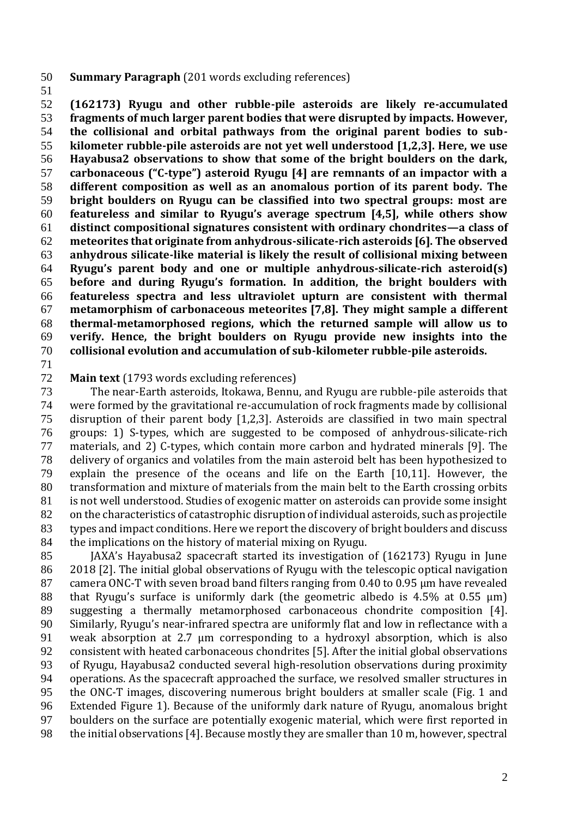- **Summary Paragraph** (201 words excluding references)
- 

 **(162173) Ryugu and other rubble-pile asteroids are likely re-accumulated fragments of much larger parent bodies that were disrupted by impacts. However, the collisional and orbital pathways from the original parent bodies to sub- kilometer rubble-pile asteroids are not yet well understood [1,2,3]. Here, we use Hayabusa2 observations to show that some of the bright boulders on the dark, carbonaceous ("C-type") asteroid Ryugu [4] are remnants of an impactor with a different composition as well as an anomalous portion of its parent body. The bright boulders on Ryugu can be classified into two spectral groups: most are featureless and similar to Ryugu's average spectrum [4,5], while others show distinct compositional signatures consistent with ordinary chondrites—a class of meteorites that originate from anhydrous-silicate-rich asteroids [6]. The observed anhydrous silicate-like material is likely the result of collisional mixing between Ryugu's parent body and one or multiple anhydrous-silicate-rich asteroid(s) before and during Ryugu's formation. In addition, the bright boulders with featureless spectra and less ultraviolet upturn are consistent with thermal metamorphism of carbonaceous meteorites [7,8]. They might sample a different thermal-metamorphosed regions, which the returned sample will allow us to verify. Hence, the bright boulders on Ryugu provide new insights into the collisional evolution and accumulation of sub-kilometer rubble-pile asteroids.**

#### **Main text** (1793 words excluding references)

 The near-Earth asteroids, Itokawa, Bennu, and Ryugu are rubble-pile asteroids that were formed by the gravitational re-accumulation of rock fragments made by collisional disruption of their parent body [1,2,3]. Asteroids are classified in two main spectral groups: 1) S-types, which are suggested to be composed of anhydrous-silicate-rich materials, and 2) C-types, which contain more carbon and hydrated minerals [9]. The delivery of organics and volatiles from the main asteroid belt has been hypothesized to explain the presence of the oceans and life on the Earth [10,11]. However, the transformation and mixture of materials from the main belt to the Earth crossing orbits is not well understood. Studies of exogenic matter on asteroids can provide some insight on the characteristics of catastrophic disruption of individual asteroids, such as projectile types and impact conditions. Here we report the discovery of bright boulders and discuss the implications on the history of material mixing on Ryugu.

 JAXA's Hayabusa2 spacecraft started its investigation of (162173) Ryugu in June 2018 [2]. The initial global observations of Ryugu with the telescopic optical navigation camera ONC-T with seven broad band filters ranging from 0.40 to 0.95 µm have revealed 88 that Ryugu's surface is uniformly dark (the geometric albedo is  $4.5\%$  at  $0.55 \mu m$ ) suggesting a thermally metamorphosed carbonaceous chondrite composition [4]. Similarly, Ryugu's near-infrared spectra are uniformly flat and low in reflectance with a weak absorption at 2.7 µm corresponding to a hydroxyl absorption, which is also consistent with heated carbonaceous chondrites [5]. After the initial global observations of Ryugu, Hayabusa2 conducted several high-resolution observations during proximity operations. As the spacecraft approached the surface, we resolved smaller structures in the ONC-T images, discovering numerous bright boulders at smaller scale (Fig. 1 and Extended Figure 1). Because of the uniformly dark nature of Ryugu, anomalous bright boulders on the surface are potentially exogenic material, which were first reported in 98 the initial observations [4]. Because mostly they are smaller than 10 m, however, spectral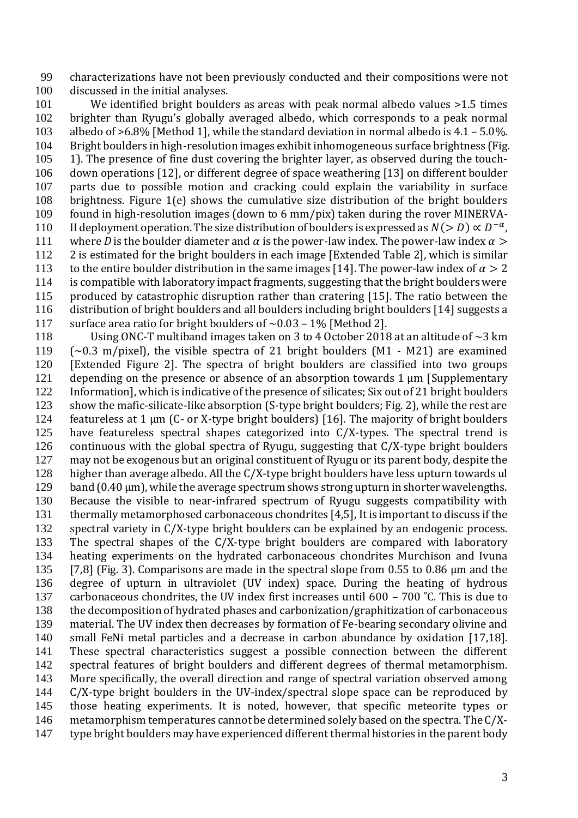characterizations have not been previously conducted and their compositions were not discussed in the initial analyses.

 We identified bright boulders as areas with peak normal albedo values >1.5 times brighter than Ryugu's globally averaged albedo, which corresponds to a peak normal albedo of >6.8% [Method 1], while the standard deviation in normal albedo is 4.1 – 5.0%. Bright boulders in high-resolution images exhibit inhomogeneous surface brightness (Fig. 1). The presence of fine dust covering the brighter layer, as observed during the touch- down operations [12], or different degree of space weathering [13] on different boulder parts due to possible motion and cracking could explain the variability in surface brightness. Figure 1(e) shows the cumulative size distribution of the bright boulders found in high-resolution images (down to 6 mm/pix) taken during the rover MINERVA-110 II deployment operation. The size distribution of boulders is expressed as  $N(>D) \propto D^{-\alpha}$ , 111 where *D* is the boulder diameter and  $\alpha$  is the power-law index. The power-law index  $\alpha$  > 2 is estimated for the bright boulders in each image [Extended Table 2], which is similar 113 to the entire boulder distribution in the same images [14]. The power-law index of  $\alpha > 2$  is compatible with laboratory impact fragments, suggesting that the bright boulders were produced by catastrophic disruption rather than cratering [15]. The ratio between the distribution of bright boulders and all boulders including bright boulders [14] suggests a 117 surface area ratio for bright boulders of  $\sim$  0.03 – 1% [Method 2].

 Using ONC-T multiband images taken on 3 to 4 October 2018 at an altitude of ~3 km  $~\sim$  0.3 m/pixel), the visible spectra of 21 bright boulders (M1 - M21) are examined [Extended Figure 2]. The spectra of bright boulders are classified into two groups 121 depending on the presence or absence of an absorption towards 1 µm [Supplementary Information], which is indicative of the presence of silicates; Six out of 21 bright boulders show the mafic-silicate-like absorption (S-type bright boulders; Fig. 2), while the rest are featureless at 1 µm (C- or X-type bright boulders) [16]. The majority of bright boulders have featureless spectral shapes categorized into C/X-types. The spectral trend is continuous with the global spectra of Ryugu, suggesting that C/X-type bright boulders may not be exogenous but an original constituent of Ryugu or its parent body, despite the higher than average albedo. All the C/X-type bright boulders have less upturn towards ul 129 band (0.40 µm), while the average spectrum shows strong upturn in shorter wavelengths. Because the visible to near-infrared spectrum of Ryugu suggests compatibility with thermally metamorphosed carbonaceous chondrites [4,5], It is important to discuss if the spectral variety in C/X-type bright boulders can be explained by an endogenic process. The spectral shapes of the C/X-type bright boulders are compared with laboratory heating experiments on the hydrated carbonaceous chondrites Murchison and Ivuna [7,8] (Fig. 3). Comparisons are made in the spectral slope from 0.55 to 0.86 µm and the degree of upturn in ultraviolet (UV index) space. During the heating of hydrous 137 carbonaceous chondrites, the UV index first increases until 600 – 700 °C. This is due to the decomposition of hydrated phases and carbonization/graphitization of carbonaceous material. The UV index then decreases by formation of Fe-bearing secondary olivine and small FeNi metal particles and a decrease in carbon abundance by oxidation [17,18]. These spectral characteristics suggest a possible connection between the different spectral features of bright boulders and different degrees of thermal metamorphism. More specifically, the overall direction and range of spectral variation observed among C/X-type bright boulders in the UV-index/spectral slope space can be reproduced by those heating experiments. It is noted, however, that specific meteorite types or metamorphism temperatures cannot be determined solely based on the spectra. The C/X-type bright boulders may have experienced different thermal histories in the parent body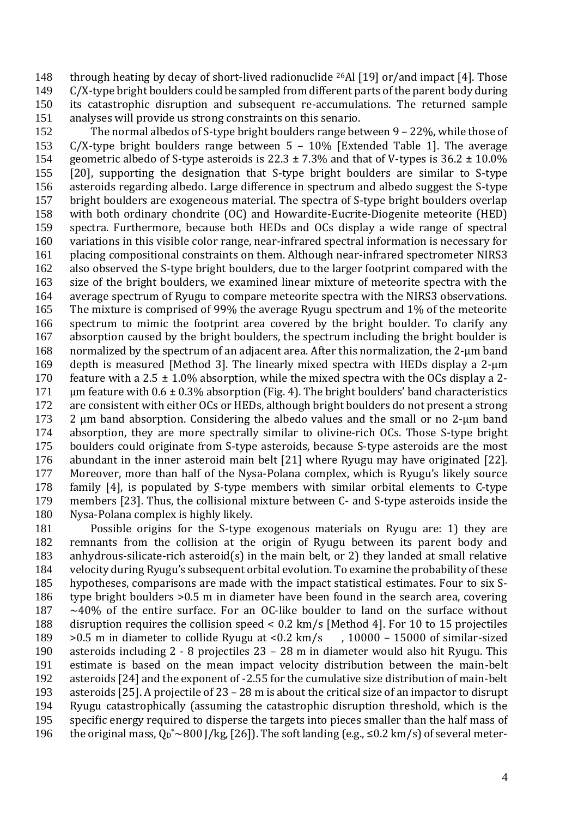148 through heating by decay of short-lived radionuclide  $^{26}$ Al [19] or/and impact [4]. Those C/X-type bright boulders could be sampled from different parts of the parent body during its catastrophic disruption and subsequent re-accumulations. The returned sample analyses will provide us strong constraints on this senario.

 The normal albedos of S-type bright boulders range between 9 – 22%, while those of C/X-type bright boulders range between 5 – 10% [Extended Table 1]. The average 154 geometric albedo of S-type asteroids is  $22.3 \pm 7.3\%$  and that of V-types is  $36.2 \pm 10.0\%$  [20], supporting the designation that S-type bright boulders are similar to S-type asteroids regarding albedo. Large difference in spectrum and albedo suggest the S-type bright boulders are exogeneous material. The spectra of S-type bright boulders overlap with both ordinary chondrite (OC) and Howardite-Eucrite-Diogenite meteorite (HED) spectra. Furthermore, because both HEDs and OCs display a wide range of spectral variations in this visible color range, near-infrared spectral information is necessary for placing compositional constraints on them. Although near-infrared spectrometer NIRS3 also observed the S-type bright boulders, due to the larger footprint compared with the size of the bright boulders, we examined linear mixture of meteorite spectra with the average spectrum of Ryugu to compare meteorite spectra with the NIRS3 observations. The mixture is comprised of 99% the average Ryugu spectrum and 1% of the meteorite spectrum to mimic the footprint area covered by the bright boulder. To clarify any absorption caused by the bright boulders, the spectrum including the bright boulder is 168 normalized by the spectrum of an adjacent area. After this normalization, the 2-um band depth is measured [Method 3]. The linearly mixed spectra with HEDs display a 2-μm 170 feature with a 2.5  $\pm$  1.0% absorption, while the mixed spectra with the OCs display a 2- $\mu$  m feature with 0.6 ± 0.3% absorption (Fig. 4). The bright boulders' band characteristics are consistent with either OCs or HEDs, although bright boulders do not present a strong 173 2 µm band absorption. Considering the albedo values and the small or no 2-µm band absorption, they are more spectrally similar to olivine-rich OCs. Those S-type bright boulders could originate from S-type asteroids, because S-type asteroids are the most abundant in the inner asteroid main belt [21] where Ryugu may have originated [22]. Moreover, more than half of the Nysa-Polana complex, which is Ryugu's likely source family [4], is populated by S-type members with similar orbital elements to C-type members [23]. Thus, the collisional mixture between C- and S-type asteroids inside the Nysa-Polana complex is highly likely.

 Possible origins for the S-type exogenous materials on Ryugu are: 1) they are remnants from the collision at the origin of Ryugu between its parent body and anhydrous-silicate-rich asteroid(s) in the main belt, or 2) they landed at small relative velocity during Ryugu's subsequent orbital evolution. To examine the probability of these hypotheses, comparisons are made with the impact statistical estimates. Four to six S- type bright boulders >0.5 m in diameter have been found in the search area, covering  $187 \sim 40\%$  of the entire surface. For an OC-like boulder to land on the surface without disruption requires the collision speed < 0.2 km/s [Method 4]. For 10 to 15 projectiles  $>0.5$  m in diameter to collide Ryugu at <0.2 km/s , 10000 – 15000 of similar-sized asteroids including 2 - 8 projectiles 23 – 28 m in diameter would also hit Ryugu. This estimate is based on the mean impact velocity distribution between the main-belt asteroids [24] and the exponent of -2.55 for the cumulative size distribution of main-belt asteroids [25]. A projectile of 23 – 28 m is about the critical size of an impactor to disrupt Ryugu catastrophically (assuming the catastrophic disruption threshold, which is the specific energy required to disperse the targets into pieces smaller than the half mass of 196 the original mass,  $Q_D^* \sim 800$  J/kg, [26]). The soft landing (e.g.,  $\leq 0.2$  km/s) of several meter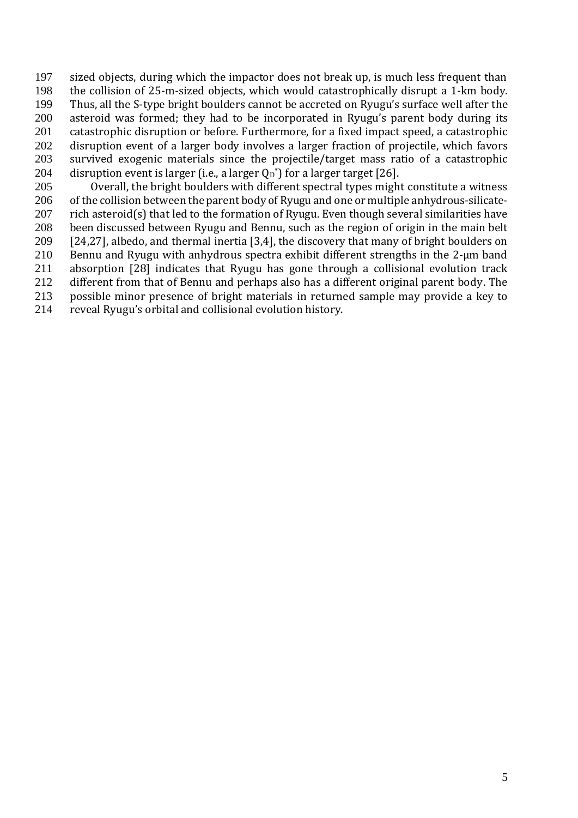sized objects, during which the impactor does not break up, is much less frequent than the collision of 25-m-sized objects, which would catastrophically disrupt a 1-km body. Thus, all the S-type bright boulders cannot be accreted on Ryugu's surface well after the asteroid was formed; they had to be incorporated in Ryugu's parent body during its catastrophic disruption or before. Furthermore, for a fixed impact speed, a catastrophic disruption event of a larger body involves a larger fraction of projectile, which favors survived exogenic materials since the projectile/target mass ratio of a catastrophic  $\;$  disruption event is larger (i.e., a larger  $\mathsf{Q}_{\texttt{D}}$ \*) for a larger target [26].

 Overall, the bright boulders with different spectral types might constitute a witness 206 of the collision between the parent body of Ryugu and one or multiple anhydrous-silicate-207 rich asteroid(s) that led to the formation of Ryugu. Even though several similarities have been discussed between Ryugu and Bennu, such as the region of origin in the main belt [24,27], albedo, and thermal inertia [3,4], the discovery that many of bright boulders on 210 Bennu and Ryugu with anhydrous spectra exhibit different strengths in the 2-um band absorption [28] indicates that Ryugu has gone through a collisional evolution track different from that of Bennu and perhaps also has a different original parent body. The possible minor presence of bright materials in returned sample may provide a key to

reveal Ryugu's orbital and collisional evolution history.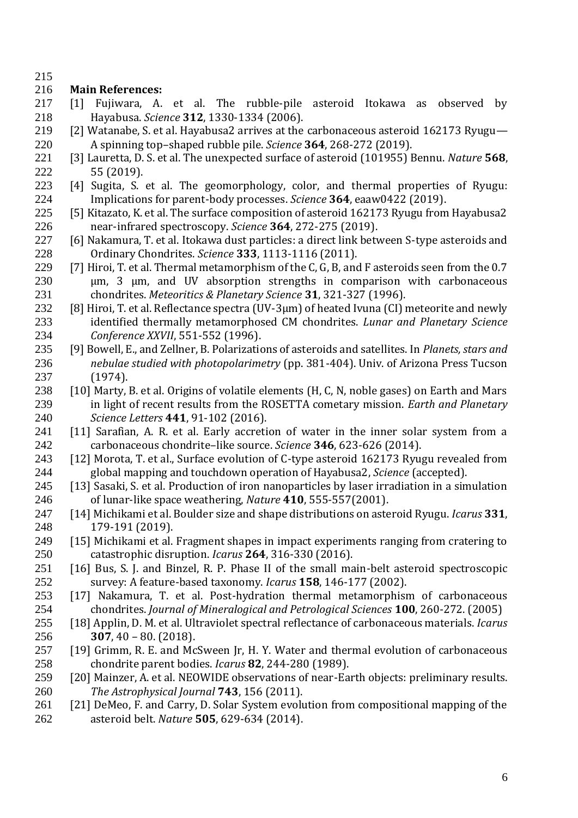# **Main References:**

- [1] Fujiwara, A. et al. The rubble-pile asteroid Itokawa as observed by Hayabusa. *Science* **312**, 1330-1334 (2006).
- [2] Watanabe, S. et al. Hayabusa2 arrives at the carbonaceous asteroid 162173 Ryugu— A spinning top–shaped rubble pile. *Science* **364**, 268-272 (2019).
- [3] Lauretta, D. S. et al. The unexpected surface of asteroid (101955) Bennu. *Nature* **568**, 55 (2019).
- [4] Sugita, S. et al. The geomorphology, color, and thermal properties of Ryugu: Implications for parent-body processes. *Science* **364**, eaaw0422 (2019).
- [5] Kitazato, K. et al. The surface composition of asteroid 162173 Ryugu from Hayabusa2 near-infrared spectroscopy. *Science* **364**, 272-275 (2019).
- [6] Nakamura, T. et al. Itokawa dust particles: a direct link between S-type asteroids and Ordinary Chondrites. *Science* **333**, 1113-1116 (2011).
- 229 [7] Hiroi, T. et al. Thermal metamorphism of the C, G, B, and F asteroids seen from the 0.7 μm, 3 μm, and UV absorption strengths in comparison with carbonaceous chondrites. *Meteoritics & Planetary Science* **31**, 321-327 (1996).
- 232 [8] Hiroi, T. et al. Reflectance spectra (UV-3µm) of heated Ivuna (CI) meteorite and newly identified thermally metamorphosed CM chondrites. *Lunar and Planetary Science Conference XXVII*, 551-552 (1996).
- [9] Bowell, E., and Zellner, B. Polarizations of asteroids and satellites. In *Planets, stars and nebulae studied with photopolarimetry* (pp. 381-404). Univ. of Arizona Press Tucson (1974).
- [10] Marty, B. et al. Origins of volatile elements (H, C, N, noble gases) on Earth and Mars in light of recent results from the ROSETTA cometary mission. *Earth and Planetary Science Letters* **441**, 91-102 (2016).
- [11] Sarafian, A. R. et al. Early accretion of water in the inner solar system from a carbonaceous chondrite–like source. *Science* **346**, 623-626 (2014).
- [12] Morota, T. et al., Surface evolution of C-type asteroid 162173 Ryugu revealed from global mapping and touchdown operation of Hayabusa2, *Science* (accepted).
- [13] Sasaki, S. et al. Production of iron nanoparticles by laser irradiation in a simulation of lunar-like space weathering, *Nature* **410**, 555-557(2001).
- [14] Michikami et al. Boulder size and shape distributions on asteroid Ryugu. *Icarus* **331**, 179-191 (2019).
- [15] Michikami et al. Fragment shapes in impact experiments ranging from cratering to catastrophic disruption. *Icarus* **264**, 316-330 (2016).
- [16] Bus, S. J. and Binzel, R. P. Phase II of the small main-belt asteroid spectroscopic survey: A feature-based taxonomy. *Icarus* **158**, 146-177 (2002).
- [17] Nakamura, T. et al. Post-hydration thermal metamorphism of carbonaceous chondrites. *Journal of Mineralogical and Petrological Sciences* **100**, 260-272. (2005)
- [18] Applin, D. M. et al. Ultraviolet spectral reflectance of carbonaceous materials. *Icarus*  **307**, 40 – 80. (2018).
- [19] Grimm, R. E. and McSween Jr, H. Y. Water and thermal evolution of carbonaceous chondrite parent bodies. *Icarus* **82**, 244-280 (1989).
- [20] Mainzer, A. et al. NEOWIDE observations of near-Earth objects: preliminary results. *The Astrophysical Journal* **743**, 156 (2011).
- [21] DeMeo, F. and Carry, D. Solar System evolution from compositional mapping of the asteroid belt. *Nature* **505**, 629-634 (2014).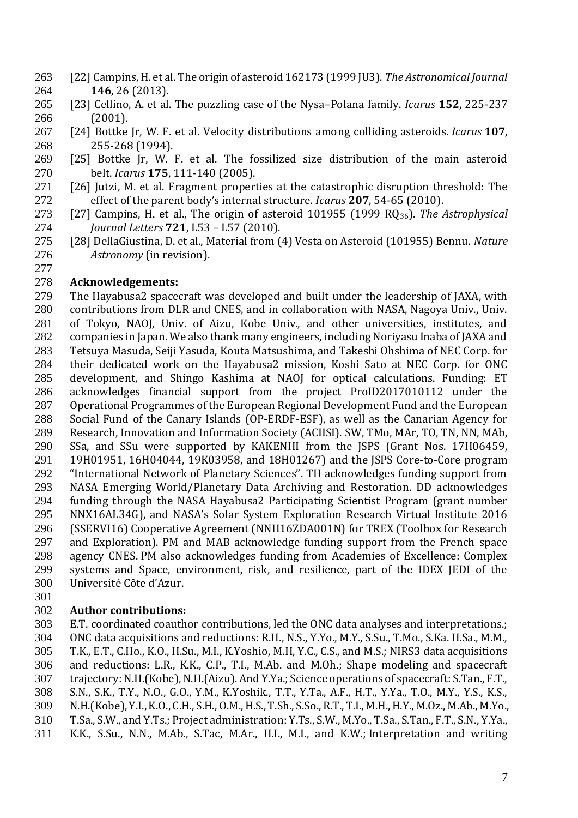- [22] Campins, H. et al. The origin of asteroid 162173 (1999 JU3). *The Astronomical Journal* **146**, 26 (2013).
- [23] Cellino, A. et al. The puzzling case of the Nysa–Polana family. *Icarus* **152**, 225-237 (2001).
- [24] Bottke Jr, W. F. et al. Velocity distributions among colliding asteroids. *Icarus* **107**, 255-268 (1994).
- [25] Bottke Jr, W. F. et al. The fossilized size distribution of the main asteroid belt. *Icarus* **175**, 111-140 (2005).
- [26] Jutzi, M. et al. Fragment properties at the catastrophic disruption threshold: The effect of the parent body's internal structure. *Icarus* **207**, 54-65 (2010).
- [27] Campins, H. et al., The origin of asteroid 101955 (1999 RQ36). *The Astrophysical Journal Letters* **721**, L53 – L57 (2010).
- [28] DellaGiustina, D. et al., Material from (4) Vesta on Asteroid (101955) Bennu. *Nature Astronomy* (in revision).

# **Acknowledgements:**

 The Hayabusa2 spacecraft was developed and built under the leadership of JAXA, with contributions from DLR and CNES, and in collaboration with NASA, Nagoya Univ., Univ. of Tokyo, NAOJ, Univ. of Aizu, Kobe Univ., and other universities, institutes, and companies in Japan. We also thank many engineers, including Noriyasu Inaba of JAXA and Tetsuya Masuda, Seiji Yasuda, Kouta Matsushima, and Takeshi Ohshima of NEC Corp. for their dedicated work on the Hayabusa2 mission, Koshi Sato at NEC Corp. for ONC development, and Shingo Kashima at NAOJ for optical calculations. Funding: ET acknowledges financial support from the project ProID2017010112 under the Operational Programmes of the European Regional Development Fund and the European Social Fund of the Canary Islands (OP-ERDF-ESF), as well as the Canarian Agency for Research, Innovation and Information Society (ACIISI). SW, TMo, MAr, TO, TN, NN, MAb, SSa, and SSu were supported by KAKENHI from the JSPS (Grant Nos. 17H06459, 19H01951, 16H04044, 19K03958, and 18H01267) and the JSPS Core-to-Core program "International Network of Planetary Sciences". TH acknowledges funding support from NASA Emerging World/Planetary Data Archiving and Restoration. DD acknowledges funding through the NASA Hayabusa2 Participating Scientist Program (grant number NNX16AL34G), and NASA's Solar System Exploration Research Virtual Institute 2016 (SSERVI16) Cooperative Agreement (NNH16ZDA001N) for TREX (Toolbox for Research and Exploration). PM and MAB acknowledge funding support from the French space agency CNES. PM also acknowledges funding from Academies of Excellence: Complex systems and Space, environment, risk, and resilience, part of the IDEX JEDI of the Université Côte d'Azur.

# **Author contributions:**

 E.T. coordinated coauthor contributions, led the ONC data analyses and interpretations.; ONC data acquisitions and reductions: R.H., N.S., Y.Yo., M.Y., S.Su., T.Mo., S.Ka. H.Sa., M.M., T.K., E.T., C.Ho., K.O., H.Su., M.I., K.Yoshio, M.H, Y.C., C.S., and M.S.; NIRS3 data acquisitions and reductions: L.R., K.K., C.P., T.I., M.Ab. and M.Oh.; Shape modeling and spacecraft trajectory: N.H.(Kobe), N.H.(Aizu). And Y.Ya.; Science operations of spacecraft: S.Tan., F.T., S.N., S.K., T.Y., N.O., G.O., Y.M., K.Yoshik., T.T., Y.Ta., A.F., H.T., Y.Ya., T.O., M.Y., Y.S., K.S., N.H.(Kobe), Y.I., K.O., C.H., S.H., O.M., H.S., T.Sh., S.So., R.T., T.I., M.H., H.Y., M.Oz., M.Ab., M.Yo., T.Sa., S.W., and Y.Ts.; Project administration: Y.Ts., S.W., M.Yo., T.Sa., S.Tan., F.T., S.N., Y.Ya., K.K., S.Su., N.N., M.Ab., S.Tac, M.Ar., H.I., M.I., and K.W.; Interpretation and writing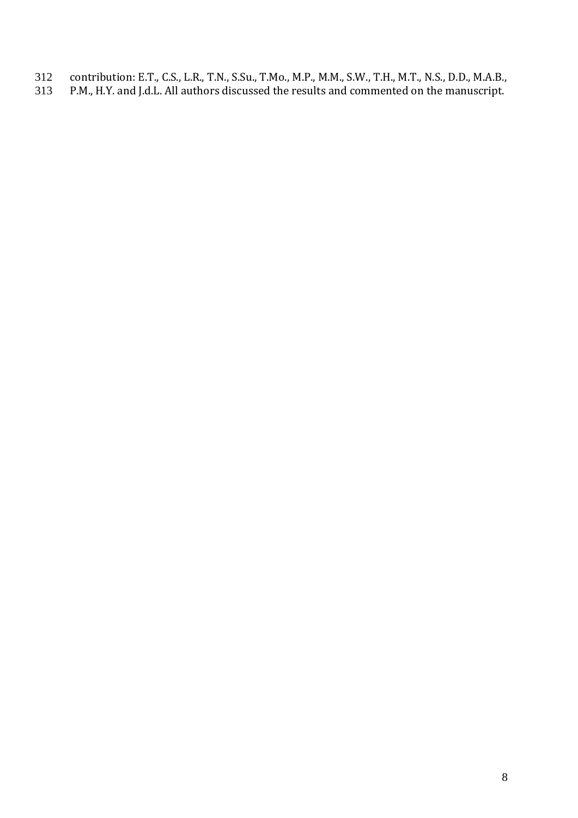- 312 contribution: E.T., C.S., L.R., T.N., S.Su., T.Mo., M.P., M.M., S.W., T.H., M.T., N.S., D.D., M.A.B., 313 P.M., H.Y. and J.d.L. All authors discussed the results and commented on the manuscript.
- P.M., H.Y. and J.d.L. All authors discussed the results and commented on the manuscript.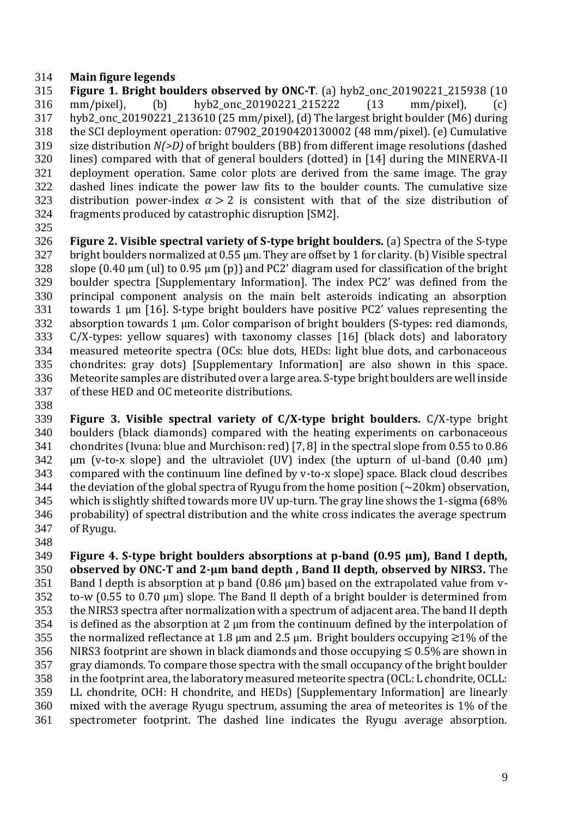## **Main figure legends**

 **Figure 1. Bright boulders observed by ONC-T**. (a) hyb2\_onc\_20190221\_215938 (10 mm/pixel), (b) hyb2\_onc\_20190221\_215222 (13 mm/pixel), (c) hyb2\_onc\_20190221\_213610 (25 mm/pixel), (d) The largest bright boulder (M6) during the SCI deployment operation: 07902\_20190420130002 (48 mm/pixel). (e) Cumulative size distribution *N(>D)* of bright boulders (BB) from different image resolutions (dashed lines) compared with that of general boulders (dotted) in [14] during the MINERVA-II deployment operation. Same color plots are derived from the same image. The gray dashed lines indicate the power law fits to the boulder counts. The cumulative size 323 distribution power-index  $\alpha > 2$  is consistent with that of the size distribution of fragments produced by catastrophic disruption [SM2].

 **Figure 2. Visible spectral variety of S-type bright boulders.** (a) Spectra of the S-type 327 bright boulders normalized at 0.55 µm. They are offset by 1 for clarity. (b) Visible spectral slope (0.40 µm (ul) to 0.95 µm (p)) and PC2' diagram used for classification of the bright boulder spectra [Supplementary Information]. The index PC2' was defined from the principal component analysis on the main belt asteroids indicating an absorption towards 1 µm [16]. S-type bright boulders have positive PC2' values representing the absorption towards 1 µm. Color comparison of bright boulders (S-types: red diamonds, C/X-types: yellow squares) with taxonomy classes [16] (black dots) and laboratory measured meteorite spectra (OCs: blue dots, HEDs: light blue dots, and carbonaceous chondrites: gray dots) [Supplementary Information] are also shown in this space. Meteorite samples are distributed over a large area. S-type bright boulders are well inside of these HED and OC meteorite distributions.

 **Figure 3. Visible spectral variety of C/X-type bright boulders.** C/X-type bright boulders (black diamonds) compared with the heating experiments on carbonaceous chondrites (Ivuna: blue and Murchison: red) [7, 8] in the spectral slope from 0.55 to 0.86 um (v-to-x slope) and the ultraviolet (UV) index (the upturn of ul-band (0.40 µm) compared with the continuum line defined by v-to-x slope) space. Black cloud describes the deviation of the global spectra of Ryugu from the home position  $\sim 20$ km) observation, which is slightly shifted towards more UV up-turn. The gray line shows the 1-sigma (68% probability) of spectral distribution and the white cross indicates the average spectrum of Ryugu. 

 **Figure 4. S-type bright boulders absorptions at p-band (0.95 µm), Band I depth, observed by ONC-T and 2-µm band depth , Band II depth, observed by NIRS3.** The Band I depth is absorption at p band (0.86 µm) based on the extrapolated value from v- to-w (0.55 to 0.70 µm) slope. The Band II depth of a bright boulder is determined from the NIRS3 spectra after normalization with a spectrum of adjacent area. The band II depth is defined as the absorption at 2 µm from the continuum defined by the interpolation of 355 the normalized reflectance at 1.8 µm and 2.5 µm. Bright boulders occupying  $\gtrsim$  1% of the 356 NIRS3 footprint are shown in black diamonds and those occupying  $\lesssim 0.5\%$  are shown in gray diamonds. To compare those spectra with the small occupancy of the bright boulder in the footprint area, the laboratory measured meteorite spectra (OCL: L chondrite, OCLL: LL chondrite, OCH: H chondrite, and HEDs) [Supplementary Information] are linearly mixed with the average Ryugu spectrum, assuming the area of meteorites is 1% of the spectrometer footprint. The dashed line indicates the Ryugu average absorption.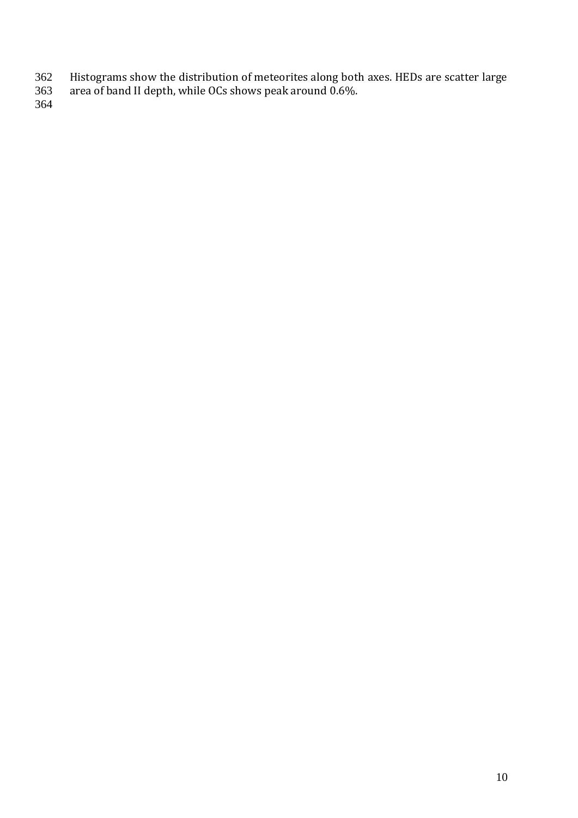- Histograms show the distribution of meteorites along both axes. HEDs are scatter large
- area of band II depth, while OCs shows peak around 0.6%.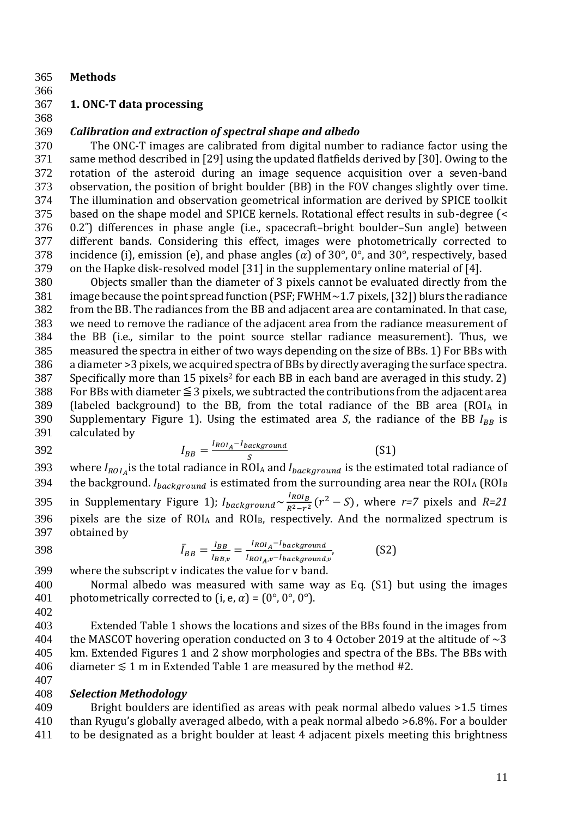- 365 **Methods**
- 366

# 367 **1. ONC-T data processing**

# 368

# 369 *Calibration and extraction of spectral shape and albedo*

 The ONC-T images are calibrated from digital number to radiance factor using the same method described in [29] using the updated flatfields derived by [30]. Owing to the rotation of the asteroid during an image sequence acquisition over a seven-band observation, the position of bright boulder (BB) in the FOV changes slightly over time. The illumination and observation geometrical information are derived by SPICE toolkit based on the shape model and SPICE kernels. Rotational effect results in sub-degree (< 0.2˚) differences in phase angle (i.e., spacecraft–bright boulder–Sun angle) between different bands. Considering this effect, images were photometrically corrected to 378 incidence (i), emission (e), and phase angles ( $\alpha$ ) of 30°, 0°, and 30°, respectively, based on the Hapke disk-resolved model [31] in the supplementary online material of [4].

 Objects smaller than the diameter of 3 pixels cannot be evaluated directly from the image because the point spread function (PSF; FWHM~1.7 pixels, [32]) blurs the radiance from the BB. The radiances from the BB and adjacent area are contaminated. In that case, we need to remove the radiance of the adjacent area from the radiance measurement of the BB (i.e., similar to the point source stellar radiance measurement). Thus, we measured the spectra in either of two ways depending on the size of BBs. 1) For BBs with a diameter >3 pixels, we acquired spectra of BBs by directly averaging the surface spectra. Specifically more than 15 pixels<sup>2</sup> for each BB in each band are averaged in this study. 2) 388 For BBs with diameter  $\leq$  3 pixels, we subtracted the contributions from the adjacent area 389 (labeled background) to the BB, from the total radiance of the BB area ( $ROI_A$  in 390 Supplementary Figure 1). Using the estimated area *S*, the radiance of the BB  $I_{BB}$  is calculated by calculated by

$$
I_{BB} = \frac{I_{ROI_A} - I_{background}}{S}
$$
 (S1)

393 where  $I_{ROI_A}$  is the total radiance in ROI<sub>A</sub> and  $I_{background}$  is the estimated total radiance of 394 the background.  $I_{background}$  is estimated from the surrounding area near the ROI<sub>A</sub> (ROI<sub>B</sub> in Supplementary Figure 1);  $I_{\text{background}} \sim \frac{I_{\text{ROI}_B}}{P^2-r^2}$ 295 in Supplementary Figure 1);  $I_{background} \sim \frac{R_{OIB}}{R^2-r^2}(r^2-S)$ , where *r*=7 pixels and *R=21* 396 pixels are the size of ROIA and ROI<sub>B</sub>, respectively. And the normalized spectrum is 397 obtained by

$$
\bar{I}_{BB} = \frac{I_{BB}}{I_{BB,v}} = \frac{I_{ROI_A} - I_{background}}{I_{ROI_A,v} - I_{background,v}},
$$
(S2)

399 where the subscript v indicates the value for v band.

400 Normal albedo was measured with same way as Eq. (S1) but using the images 401 photometrically corrected to  $(i, e, \alpha) = (0^{\circ}, 0^{\circ}, 0^{\circ})$ .

402

403 Extended Table 1 shows the locations and sizes of the BBs found in the images from 404 the MASCOT hovering operation conducted on 3 to 4 October 2019 at the altitude of  $\sim$ 3 405 km. Extended Figures 1 and 2 show morphologies and spectra of the BBs. The BBs with 406 diameter  $≤ 1$  m in Extended Table 1 are measured by the method #2. 407

408 *Selection Methodology*

409 Bright boulders are identified as areas with peak normal albedo values >1.5 times 410 than Ryugu's globally averaged albedo, with a peak normal albedo >6.8%. For a boulder 411 to be designated as a bright boulder at least 4 adjacent pixels meeting this brightness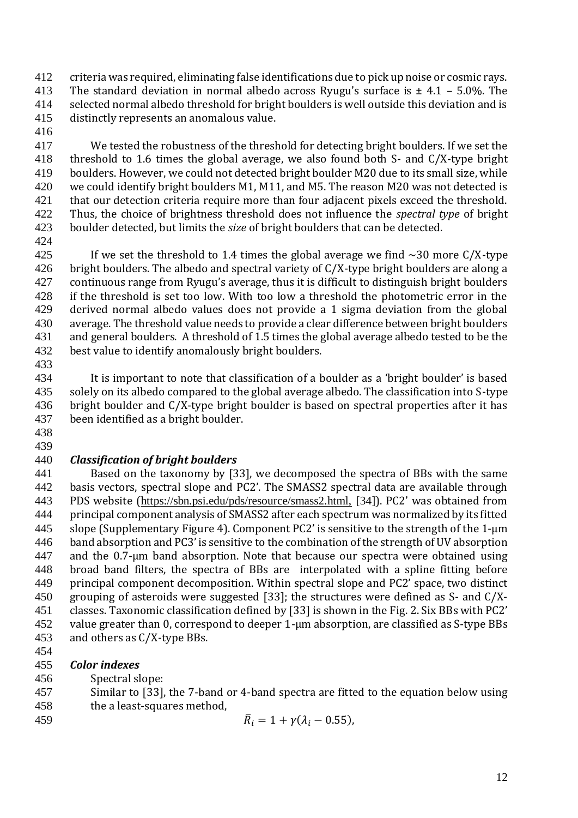criteria was required, eliminating false identifications due to pick up noise or cosmic rays. 413 The standard deviation in normal albedo across Ryugu's surface is  $\pm$  4.1 – 5.0%. The selected normal albedo threshold for bright boulders is well outside this deviation and is distinctly represents an anomalous value.

 We tested the robustness of the threshold for detecting bright boulders. If we set the threshold to 1.6 times the global average, we also found both S- and C/X-type bright boulders. However, we could not detected bright boulder M20 due to its small size, while we could identify bright boulders M1, M11, and M5. The reason M20 was not detected is 421 that our detection criteria require more than four adjacent pixels exceed the threshold. Thus, the choice of brightness threshold does not influence the *spectral type* of bright boulder detected, but limits the *size* of bright boulders that can be detected.

425 If we set the threshold to 1.4 times the global average we find  $\sim$ 30 more C/X-type 426 bright boulders. The albedo and spectral variety of  $C/X$ -type bright boulders are along a continuous range from Ryugu's average, thus it is difficult to distinguish bright boulders if the threshold is set too low. With too low a threshold the photometric error in the derived normal albedo values does not provide a 1 sigma deviation from the global average. The threshold value needs to provide a clear difference between bright boulders and general boulders. A threshold of 1.5 times the global average albedo tested to be the best value to identify anomalously bright boulders.

 It is important to note that classification of a boulder as a 'bright boulder' is based solely on its albedo compared to the global average albedo. The classification into S-type bright boulder and C/X-type bright boulder is based on spectral properties after it has been identified as a bright boulder.

 

# *Classification of bright boulders*

 Based on the taxonomy by [33], we decomposed the spectra of BBs with the same basis vectors, spectral slope and PC2'. The SMASS2 spectral data are available through PDS website ([https://sbn.psi.edu/pds/resource/smass2.html,](https://sbn.psi.edu/pds/resource/smass2.html) [34]). PC2' was obtained from principal component analysis of SMASS2 after each spectrum was normalized by its fitted slope (Supplementary Figure 4). Component PC2' is sensitive to the strength of the 1-µm band absorption and PC3' is sensitive to the combination of the strength of UV absorption and the 0.7-µm band absorption. Note that because our spectra were obtained using broad band filters, the spectra of BBs are interpolated with a spline fitting before principal component decomposition. Within spectral slope and PC2' space, two distinct grouping of asteroids were suggested [33]; the structures were defined as S- and C/X- classes. Taxonomic classification defined by [33] is shown in the Fig. 2. Six BBs with PC2' value greater than 0, correspond to deeper 1-µm absorption, are classified as S-type BBs and others as C/X-type BBs.

*Color indexes*

- Spectral slope:
- Similar to [33], the 7-band or 4-band spectra are fitted to the equation below using the a least-squares method,
- 459  $\bar{R}_i = 1 + \gamma (\lambda_i 0.55)$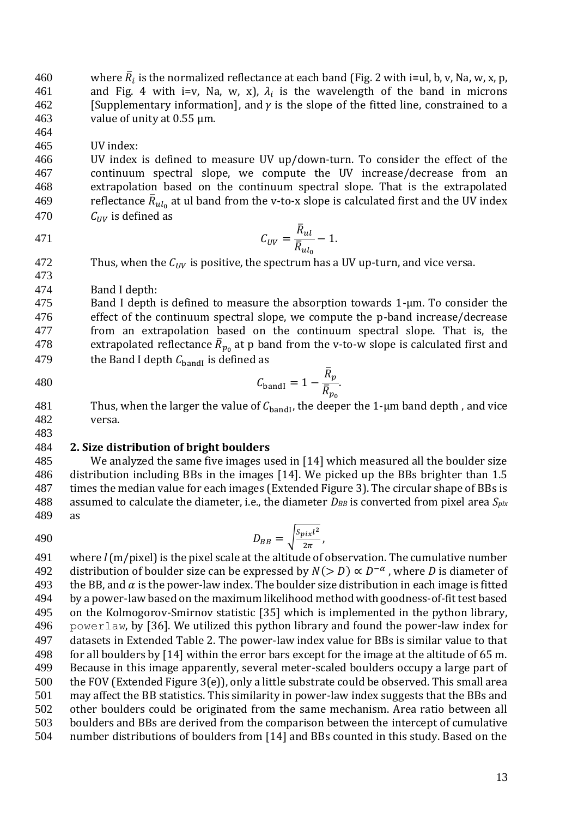460 where  $\bar{R}_i$  is the normalized reflectance at each band (Fig. 2 with i=ul, b, v, Na, w, x, p, 461 and Fig. 4 with i=v, Na, w, x),  $\lambda_i$  is the wavelength of the band in microns 462 [Supplementary information], and  $\gamma$  is the slope of the fitted line, constrained to a [Supplementary information], and  $\gamma$  is the slope of the fitted line, constrained to a value of unity at 0.55 µm.

UV index:

 UV index is defined to measure UV up/down-turn. To consider the effect of the continuum spectral slope, we compute the UV increase/decrease from an extrapolation based on the continuum spectral slope. That is the extrapolated 469 at ul band from the v-to-x slope is calculated first and the UV index  $C_{UV}$  is defined as

471 
$$
C_{UV} = \frac{\bar{R}_{ul}}{\bar{R}_{ul_0}} - 1.
$$

- 472 Thus, when the  $C_{UV}$  is positive, the spectrum has a UV up-turn, and vice versa.
- Band I depth:

 Band I depth is defined to measure the absorption towards 1-µm. To consider the effect of the continuum spectral slope, we compute the p-band increase/decrease from an extrapolation based on the continuum spectral slope. That is, the 478 extrapolated reflectance  $\bar{R}_{p_0}$  at p band from the v-to-w slope is calculated first and 479 the Band I depth  $C_{\text{band}}$  is defined as  $\bar{D}$ 

$$
C_{\text{bandI}} = 1 - \frac{\kappa_p}{\overline{R}_{p_0}}.
$$

- 481 Thus, when the larger the value of  $C_{\text{band}}$ , the deeper the 1-µm band depth, and vice versa.
- 

## **2. Size distribution of bright boulders**

 We analyzed the same five images used in [14] which measured all the boulder size distribution including BBs in the images [14]. We picked up the BBs brighter than 1.5 times the median value for each images (Extended Figure 3). The circular shape of BBs is 488 assumed to calculate the diameter, i.e., the diameter  $D_{BB}$  is converted from pixel area  $S_{pix}$ as

$$
D_{BB} = \sqrt{\frac{S_{pix}l^2}{2\pi}},
$$

 where *l* (m/pixel) is the pixel scale at the altitude of observation. The cumulative number 492 distribution of boulder size can be expressed by  $N(>D) \propto D^{-\alpha}$ , where D is diameter of 493 the BB, and  $\alpha$  is the power-law index. The boulder size distribution in each image is fitted by a power-law based on the maximum likelihood method with goodness-of-fit test based on the Kolmogorov-Smirnov statistic [35] which is implemented in the python library, powerlaw, by [36]. We utilized this python library and found the power-law index for datasets in Extended Table 2. The power-law index value for BBs is similar value to that for all boulders by [14] within the error bars except for the image at the altitude of 65 m. Because in this image apparently, several meter-scaled boulders occupy a large part of the FOV (Extended Figure 3(e)), only a little substrate could be observed. This small area may affect the BB statistics. This similarity in power-law index suggests that the BBs and other boulders could be originated from the same mechanism. Area ratio between all boulders and BBs are derived from the comparison between the intercept of cumulative number distributions of boulders from [14] and BBs counted in this study. Based on the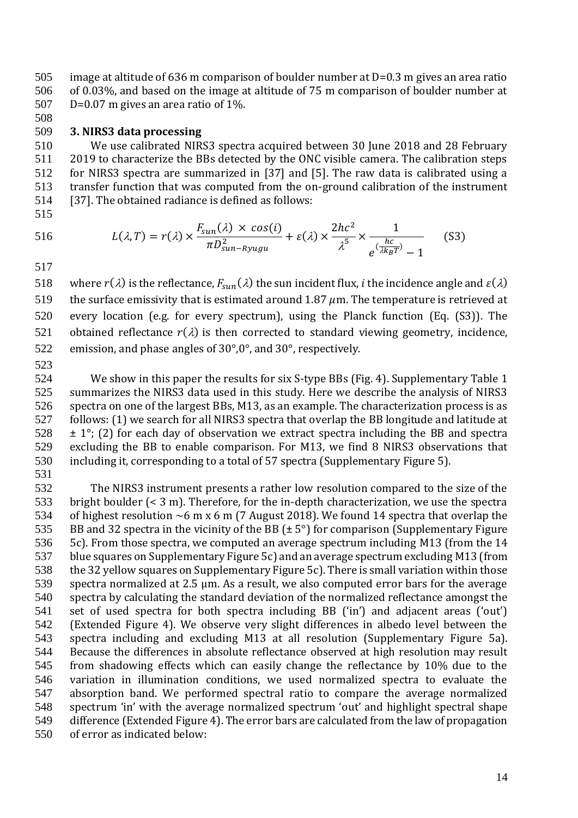image at altitude of 636 m comparison of boulder number at D=0.3 m gives an area ratio of 0.03%, and based on the image at altitude of 75 m comparison of boulder number at D=0.07 m gives an area ratio of 1%.

### **3. NIRS3 data processing**

 We use calibrated NIRS3 spectra acquired between 30 June 2018 and 28 February 2019 to characterize the BBs detected by the ONC visible camera. The calibration steps for NIRS3 spectra are summarized in [37] and [5]. The raw data is calibrated using a transfer function that was computed from the on-ground calibration of the instrument [37]. The obtained radiance is defined as follows:

516 
$$
L(\lambda, T) = r(\lambda) \times \frac{F_{sun}(\lambda) \times cos(i)}{\pi D_{sun-Ryugu}^2} + \varepsilon(\lambda) \times \frac{2hc^2}{\lambda^5} \times \frac{1}{e^{(\frac{hc}{\lambda k_B T})} - 1}
$$
(S3)

518 where  $r(\lambda)$  is the reflectance,  $F_{syn}(\lambda)$  the sun incident flux, *i* the incidence angle and  $\varepsilon(\lambda)$ 519 the surface emissivity that is estimated around 1.87  $\mu$ m. The temperature is retrieved at every location (e.g. for every spectrum), using the Planck function (Eq. (S3)). The 521 obtained reflectance  $r(\lambda)$  is then corrected to standard viewing geometry, incidence, emission, and phase angles of 30°,0°, and 30°, respectively.

 We show in this paper the results for six S-type BBs (Fig. 4). Supplementary Table 1 summarizes the NIRS3 data used in this study. Here we describe the analysis of NIRS3 spectra on one of the largest BBs, M13, as an example. The characterization process is as follows: (1) we search for all NIRS3 spectra that overlap the BB longitude and latitude at  $\pm$  1°; (2) for each day of observation we extract spectra including the BB and spectra excluding the BB to enable comparison. For M13, we find 8 NIRS3 observations that including it, corresponding to a total of 57 spectra (Supplementary Figure 5). 

 The NIRS3 instrument presents a rather low resolution compared to the size of the bright boulder (< 3 m). Therefore, for the in-depth characterization, we use the spectra of highest resolution ~6 m x 6 m (7 August 2018). We found 14 spectra that overlap the 535 BB and 32 spectra in the vicinity of the BB ( $\pm$  5°) for comparison (Supplementary Figure 5c). From those spectra, we computed an average spectrum including M13 (from the 14 blue squares on Supplementary Figure 5c) and an average spectrum excluding M13 (from the 32 yellow squares on Supplementary Figure 5c). There is small variation within those spectra normalized at 2.5 µm. As a result, we also computed error bars for the average spectra by calculating the standard deviation of the normalized reflectance amongst the set of used spectra for both spectra including BB ('in') and adjacent areas ('out') (Extended Figure 4). We observe very slight differences in albedo level between the spectra including and excluding M13 at all resolution (Supplementary Figure 5a). Because the differences in absolute reflectance observed at high resolution may result from shadowing effects which can easily change the reflectance by 10% due to the variation in illumination conditions, we used normalized spectra to evaluate the absorption band. We performed spectral ratio to compare the average normalized spectrum 'in' with the average normalized spectrum 'out' and highlight spectral shape difference (Extended Figure 4). The error bars are calculated from the law of propagation of error as indicated below: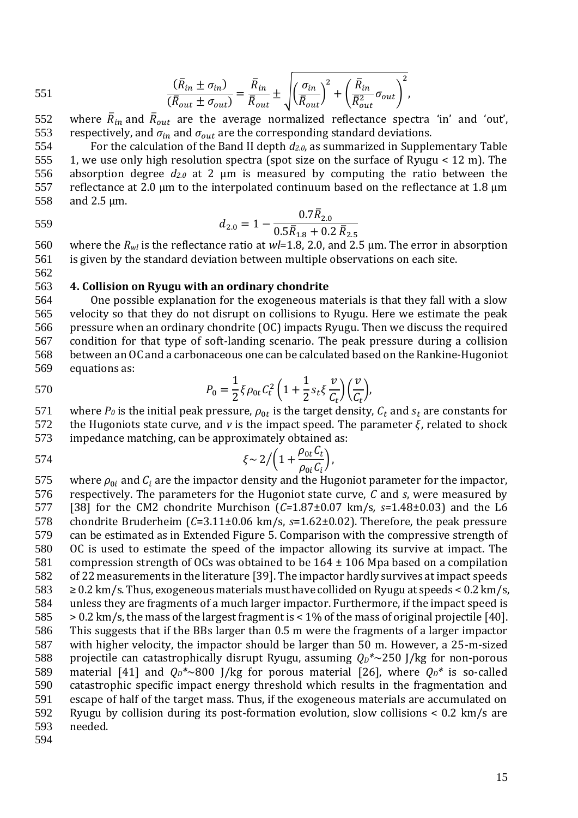551 
$$
\frac{(\bar{R}_{in} \pm \sigma_{in})}{(\bar{R}_{out} \pm \sigma_{out})} = \frac{\bar{R}_{in}}{\bar{R}_{out}} \pm \sqrt{\left(\frac{\sigma_{in}}{\bar{R}_{out}}\right)^2 + \left(\frac{\bar{R}_{in}}{\bar{R}_{out}^2}\sigma_{out}\right)^2},
$$

552 where  $\bar{R}_{in}$  and  $\bar{R}_{out}$  are the average normalized reflectance spectra 'in' and 'out', 553 respectively, and  $\sigma_{in}$  and  $\sigma_{out}$  are the corresponding standard deviations.

 For the calculation of the Band II depth *d2.0*, as summarized in Supplementary Table 1, we use only high resolution spectra (spot size on the surface of Ryugu < 12 m). The absorption degree *d2.0* at 2 µm is measured by computing the ratio between the 557 reflectance at 2.0  $\mu$ m to the interpolated continuum based on the reflectance at 1.8  $\mu$ m and 2.5 µm.

559

562

$$
d_{2.0} = 1 - \frac{0.7 \bar{R}_{2.0}}{0.5 \bar{R}_{1.8} + 0.2 \bar{R}_{2.5}}
$$

560 where the *Rwl* is the reflectance ratio at *wl*=1.8, 2.0, and 2.5 µm. The error in absorption 561 is given by the standard deviation between multiple observations on each site.

#### 563 **4. Collision on Ryugu with an ordinary chondrite**

 One possible explanation for the exogeneous materials is that they fall with a slow velocity so that they do not disrupt on collisions to Ryugu. Here we estimate the peak pressure when an ordinary chondrite (OC) impacts Ryugu. Then we discuss the required condition for that type of soft-landing scenario. The peak pressure during a collision between an OC and a carbonaceous one can be calculated based on the Rankine-Hugoniot equations as:

570 
$$
P_0 = \frac{1}{2} \xi \rho_{0t} C_t^2 \left( 1 + \frac{1}{2} s_t \xi \frac{v}{C_t} \right) \left( \frac{v}{C_t} \right),
$$

571 where  $P_0$  is the initial peak pressure,  $\rho_{0t}$  is the target density,  $C_t$  and  $s_t$  are constants for 572 the Hugoniots state curve, and *v* is the impact speed. The parameter  $\xi$ , related to shock

573 impedance matching, can be approximately obtained as:

 $\zeta \sim 2 / (1 + \frac{\rho_{0t} C_t}{c})$  $\rho_{0i}^{} \mathcal{C}_i^{}$  $574$   $\xi \sim 2/(1 + \frac{P_0 C_1}{G}),$ 

575 where  $\rho_{0i}$  and  $C_i$  are the impactor density and the Hugoniot parameter for the impactor, respectively. The parameters for the Hugoniot state curve, *C* and *s*, were measured by [38] for the CM2 chondrite Murchison (*C=*1.87±0.07 km/s*, s=*1.48±0.03) and the L6 chondrite Bruderheim (*C*=3.11±0.06 km/s, *s*=1.62±0.02). Therefore, the peak pressure can be estimated as in Extended Figure 5. Comparison with the compressive strength of OC is used to estimate the speed of the impactor allowing its survive at impact. The compression strength of OCs was obtained to be 164 ± 106 Mpa based on a compilation of 22 measurements in the literature [39]. The impactor hardly survives at impact speeds  $583 \geq 0.2$  km/s. Thus, exogeneous materials must have collided on Ryugu at speeds < 0.2 km/s, unless they are fragments of a much larger impactor. Furthermore, if the impact speed is > 0.2 km/s, the mass of the largest fragment is < 1% of the mass of original projectile [40]. This suggests that if the BBs larger than 0.5 m were the fragments of a larger impactor with higher velocity, the impactor should be larger than 50 m. However, a 25-m-sized projectile can catastrophically disrupt Ryugu, assuming *QD\**~250 J/kg for non-porous 589 material [41] and  $Q_D^* \sim 800$  J/kg for porous material [26], where  $Q_D^*$  is so-called catastrophic specific impact energy threshold which results in the fragmentation and escape of half of the target mass. Thus, if the exogeneous materials are accumulated on Ryugu by collision during its post-formation evolution, slow collisions < 0.2 km/s are 593 needed.

594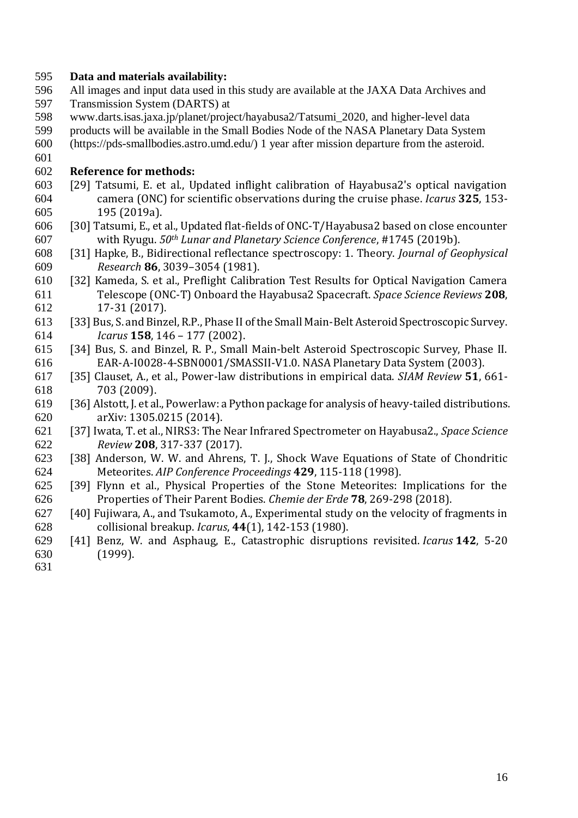## **Data and materials availability:**

- All images and input data used in this study are available at the JAXA Data Archives and Transmission System (DARTS) at
- www.darts.isas.jaxa.jp/planet/project/hayabusa2/Tatsumi\_2020, and higher-level data
- products will be available in the Small Bodies Node of the NASA Planetary Data System
- (https://pds-smallbodies.astro.umd.edu/) 1 year after mission departure from the asteroid.
- 

## **Reference for methods:**

- [29] Tatsumi, E. et al., Updated inflight calibration of Hayabusa2's optical navigation camera (ONC) for scientific observations during the cruise phase. *Icarus* **325**, 153- 195 (2019a).
- [30] Tatsumi, E., et al., Updated flat-fields of ONC-T/Hayabusa2 based on close encounter with Ryugu. *50th Lunar and Planetary Science Conference*, #1745 (2019b).
- [31] Hapke, B., Bidirectional reflectance spectroscopy: 1. Theory. *Journal of Geophysical Research* **86**, 3039–3054 (1981).
- [32] Kameda, S. et al., Preflight Calibration Test Results for Optical Navigation Camera Telescope (ONC-T) Onboard the Hayabusa2 Spacecraft. *Space Science Reviews* **208**, 17-31 (2017).
- [33] Bus, S. and Binzel, R.P., Phase II of the Small Main-Belt Asteroid Spectroscopic Survey. *Icarus* **158**, 146 – 177 (2002).
- [34] Bus, S. and Binzel, R. P., Small Main-belt Asteroid Spectroscopic Survey, Phase II. EAR-A-I0028-4-SBN0001/SMASSII-V1.0. NASA Planetary Data System (2003).
- [35] Clauset, A., et al., Power-law distributions in empirical data. *SIAM Review* **51**, 661- 703 (2009).
- [36] Alstott, J. et al., Powerlaw: a Python package for analysis of heavy-tailed distributions. arXiv: 1305.0215 (2014).
- [37] Iwata, T. et al., NIRS3: The Near Infrared Spectrometer on Hayabusa2., *Space Science Review* **208**, 317-337 (2017).
- [38] Anderson, W. W. and Ahrens, T. J., Shock Wave Equations of State of Chondritic Meteorites. *AIP Conference Proceedings* **429**, 115-118 (1998).
- [39] Flynn et al., Physical Properties of the Stone Meteorites: Implications for the Properties of Their Parent Bodies. *Chemie der Erde* **78**, 269-298 (2018).
- [40] Fujiwara, A., and Tsukamoto, A., Experimental study on the velocity of fragments in collisional breakup. *Icarus*, **44**(1), 142-153 (1980).
- [41] Benz, W. and Asphaug, E., Catastrophic disruptions revisited. *Icarus* **142**, 5-20 (1999).
-